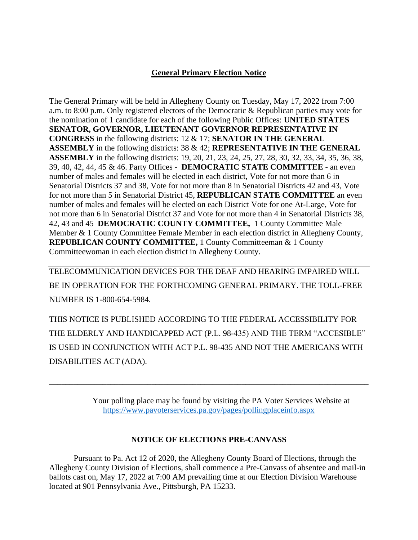## **General Primary Election Notice**

The General Primary will be held in Allegheny County on Tuesday, May 17, 2022 from 7:00 a.m. to 8:00 p.m. Only registered electors of the Democratic & Republican parties may vote for the nomination of 1 candidate for each of the following Public Offices: **UNITED STATES SENATOR, GOVERNOR, LIEUTENANT GOVERNOR REPRESENTATIVE IN CONGRESS** in the following districts: 12 & 17; **SENATOR IN THE GENERAL ASSEMBLY** in the following districts: 38 & 42; **REPRESENTATIVE IN THE GENERAL ASSEMBLY** in the following districts: 19, 20, 21, 23, 24, 25, 27, 28, 30, 32, 33, 34, 35, 36, 38, 39, 40, 42, 44, 45 & 46. Party Offices - **DEMOCRATIC STATE COMMITTEE -** an even number of males and females will be elected in each district, Vote for not more than 6 in Senatorial Districts 37 and 38, Vote for not more than 8 in Senatorial Districts 42 and 43, Vote for not more than 5 in Senatorial District 45, **REPUBLICAN STATE COMMITTEE** an even number of males and females will be elected on each District Vote for one At-Large, Vote for not more than 6 in Senatorial District 37 and Vote for not more than 4 in Senatorial Districts 38, 42, 43 and 45 **DEMOCRATIC COUNTY COMMITTEE,** 1 County Committee Male Member & 1 County Committee Female Member in each election district in Allegheny County, **REPUBLICAN COUNTY COMMITTEE,** 1 County Committeeman & 1 County Committeewoman in each election district in Allegheny County.

TELECOMMUNICATION DEVICES FOR THE DEAF AND HEARING IMPAIRED WILL BE IN OPERATION FOR THE FORTHCOMING GENERAL PRIMARY. THE TOLL-FREE NUMBER IS 1-800-654-5984.

THIS NOTICE IS PUBLISHED ACCORDING TO THE FEDERAL ACCESSIBILITY FOR THE ELDERLY AND HANDICAPPED ACT (P.L. 98-435) AND THE TERM "ACCESIBLE" IS USED IN CONJUNCTION WITH ACT P.L. 98-435 AND NOT THE AMERICANS WITH DISABILITIES ACT (ADA).

\_\_\_\_\_\_\_\_\_\_\_\_\_\_\_\_\_\_\_\_\_\_\_\_\_\_\_\_\_\_\_\_\_\_\_\_\_\_\_\_\_\_\_\_\_\_\_\_\_\_\_\_\_\_\_\_\_\_\_\_\_\_\_\_\_\_\_\_\_\_\_\_\_\_\_\_\_\_

Your polling place may be found by visiting the PA Voter Services Website at <https://www.pavoterservices.pa.gov/pages/pollingplaceinfo.aspx>

## **NOTICE OF ELECTIONS PRE-CANVASS**

Pursuant to Pa. Act 12 of 2020, the Allegheny County Board of Elections, through the Allegheny County Division of Elections, shall commence a Pre-Canvass of absentee and mail-in ballots cast on, May 17, 2022 at 7:00 AM prevailing time at our Election Division Warehouse located at 901 Pennsylvania Ave., Pittsburgh, PA 15233.